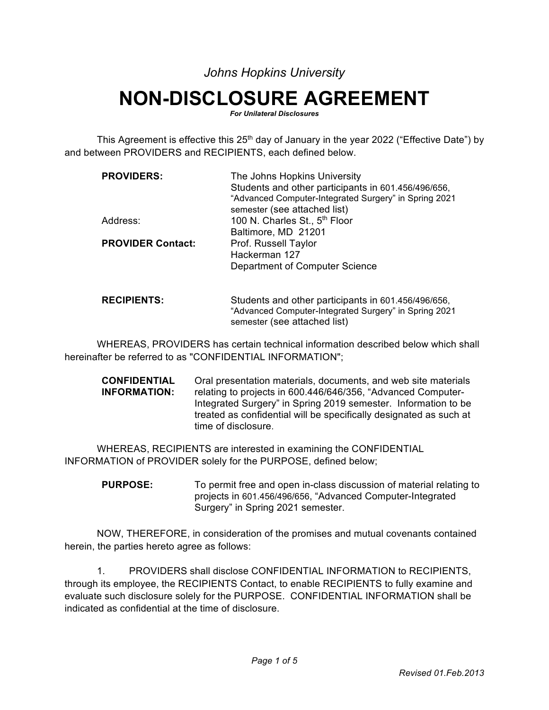*Johns Hopkins University* 

## **NON-DISCLOSURE AGREEMENT**

*For Unilateral Disclosures*

This Agreement is effective this  $25<sup>th</sup>$  day of January in the year 2022 ("Effective Date") by and between PROVIDERS and RECIPIENTS, each defined below.

| <b>PROVIDERS:</b>        | The Johns Hopkins University                          |
|--------------------------|-------------------------------------------------------|
|                          | Students and other participants in 601.456/496/656,   |
|                          | "Advanced Computer-Integrated Surgery" in Spring 2021 |
|                          | semester (see attached list)                          |
| Address:                 | 100 N. Charles St., 5 <sup>th</sup> Floor             |
|                          | Baltimore, MD 21201                                   |
| <b>PROVIDER Contact:</b> | Prof. Russell Taylor                                  |
|                          | Hackerman 127                                         |
|                          | Department of Computer Science                        |
|                          |                                                       |
|                          |                                                       |
|                          |                                                       |

## **RECIPIENTS:** Students and other participants in 601.456/496/656, "Advanced Computer-Integrated Surgery" in Spring 2021 semester (see attached list)

WHEREAS, PROVIDERS has certain technical information described below which shall hereinafter be referred to as "CONFIDENTIAL INFORMATION";

**CONFIDENTIAL INFORMATION:** Oral presentation materials, documents, and web site materials relating to projects in 600.446/646/356, "Advanced Computer-Integrated Surgery" in Spring 2019 semester. Information to be treated as confidential will be specifically designated as such at time of disclosure.

WHEREAS, RECIPIENTS are interested in examining the CONFIDENTIAL INFORMATION of PROVIDER solely for the PURPOSE, defined below;

**PURPOSE:** To permit free and open in-class discussion of material relating to projects in 601.456/496/656, "Advanced Computer-Integrated Surgery" in Spring 2021 semester.

NOW, THEREFORE, in consideration of the promises and mutual covenants contained herein, the parties hereto agree as follows:

1. PROVIDERS shall disclose CONFIDENTIAL INFORMATION to RECIPIENTS, through its employee, the RECIPIENTS Contact, to enable RECIPIENTS to fully examine and evaluate such disclosure solely for the PURPOSE. CONFIDENTIAL INFORMATION shall be indicated as confidential at the time of disclosure.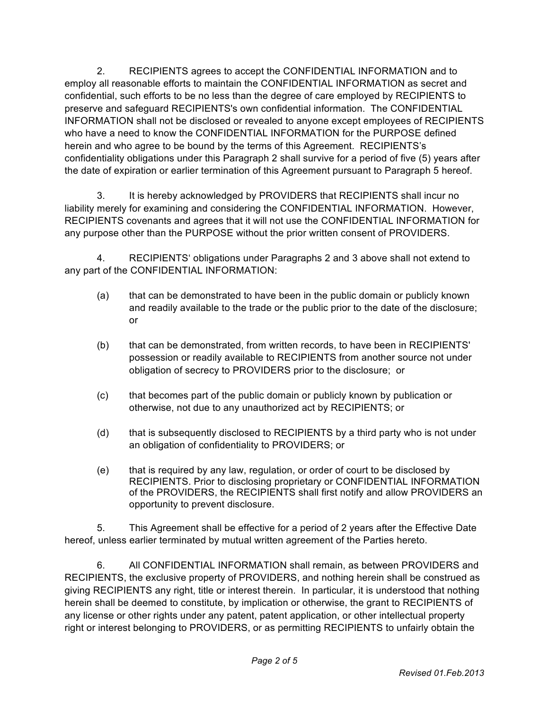2. RECIPIENTS agrees to accept the CONFIDENTIAL INFORMATION and to employ all reasonable efforts to maintain the CONFIDENTIAL INFORMATION as secret and confidential, such efforts to be no less than the degree of care employed by RECIPIENTS to preserve and safeguard RECIPIENTS's own confidential information. The CONFIDENTIAL INFORMATION shall not be disclosed or revealed to anyone except employees of RECIPIENTS who have a need to know the CONFIDENTIAL INFORMATION for the PURPOSE defined herein and who agree to be bound by the terms of this Agreement. RECIPIENTS's confidentiality obligations under this Paragraph 2 shall survive for a period of five (5) years after the date of expiration or earlier termination of this Agreement pursuant to Paragraph 5 hereof.

3. It is hereby acknowledged by PROVIDERS that RECIPIENTS shall incur no liability merely for examining and considering the CONFIDENTIAL INFORMATION. However, RECIPIENTS covenants and agrees that it will not use the CONFIDENTIAL INFORMATION for any purpose other than the PURPOSE without the prior written consent of PROVIDERS.

4. RECIPIENTS' obligations under Paragraphs 2 and 3 above shall not extend to any part of the CONFIDENTIAL INFORMATION:

- (a) that can be demonstrated to have been in the public domain or publicly known and readily available to the trade or the public prior to the date of the disclosure; or
- (b) that can be demonstrated, from written records, to have been in RECIPIENTS' possession or readily available to RECIPIENTS from another source not under obligation of secrecy to PROVIDERS prior to the disclosure; or
- (c) that becomes part of the public domain or publicly known by publication or otherwise, not due to any unauthorized act by RECIPIENTS; or
- (d) that is subsequently disclosed to RECIPIENTS by a third party who is not under an obligation of confidentiality to PROVIDERS; or
- (e) that is required by any law, regulation, or order of court to be disclosed by RECIPIENTS. Prior to disclosing proprietary or CONFIDENTIAL INFORMATION of the PROVIDERS, the RECIPIENTS shall first notify and allow PROVIDERS an opportunity to prevent disclosure.

5. This Agreement shall be effective for a period of 2 years after the Effective Date hereof, unless earlier terminated by mutual written agreement of the Parties hereto.

6. All CONFIDENTIAL INFORMATION shall remain, as between PROVIDERS and RECIPIENTS, the exclusive property of PROVIDERS, and nothing herein shall be construed as giving RECIPIENTS any right, title or interest therein. In particular, it is understood that nothing herein shall be deemed to constitute, by implication or otherwise, the grant to RECIPIENTS of any license or other rights under any patent, patent application, or other intellectual property right or interest belonging to PROVIDERS, or as permitting RECIPIENTS to unfairly obtain the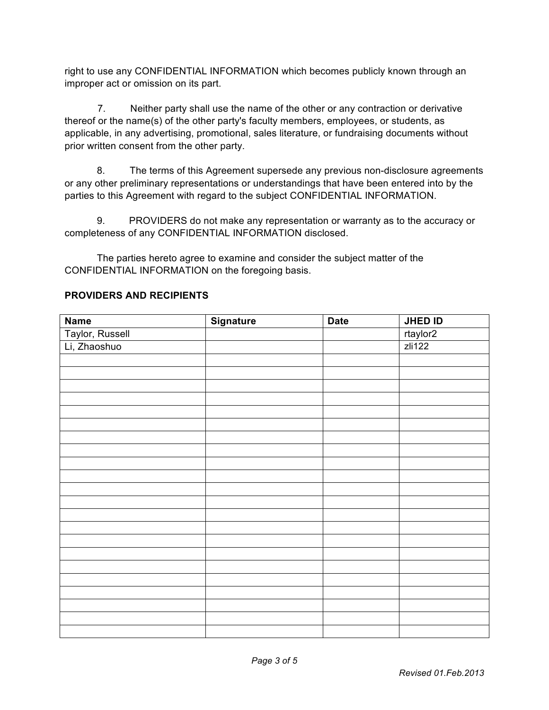right to use any CONFIDENTIAL INFORMATION which becomes publicly known through an improper act or omission on its part.

 7. Neither party shall use the name of the other or any contraction or derivative thereof or the name(s) of the other party's faculty members, employees, or students, as applicable, in any advertising, promotional, sales literature, or fundraising documents without prior written consent from the other party.

8. The terms of this Agreement supersede any previous non-disclosure agreements or any other preliminary representations or understandings that have been entered into by the parties to this Agreement with regard to the subject CONFIDENTIAL INFORMATION.

9. PROVIDERS do not make any representation or warranty as to the accuracy or completeness of any CONFIDENTIAL INFORMATION disclosed.

The parties hereto agree to examine and consider the subject matter of the CONFIDENTIAL INFORMATION on the foregoing basis.

| <b>Name</b>     | <b>Signature</b> | <b>Date</b> | JHED ID  |
|-----------------|------------------|-------------|----------|
| Taylor, Russell |                  |             | rtaylor2 |
| Li, Zhaoshuo    |                  |             | zli122   |
|                 |                  |             |          |
|                 |                  |             |          |
|                 |                  |             |          |
|                 |                  |             |          |
|                 |                  |             |          |
|                 |                  |             |          |
|                 |                  |             |          |
|                 |                  |             |          |
|                 |                  |             |          |
|                 |                  |             |          |
|                 |                  |             |          |
|                 |                  |             |          |
|                 |                  |             |          |
|                 |                  |             |          |
|                 |                  |             |          |
|                 |                  |             |          |
|                 |                  |             |          |
|                 |                  |             |          |
|                 |                  |             |          |
|                 |                  |             |          |
|                 |                  |             |          |
|                 |                  |             |          |

## **PROVIDERS AND RECIPIENTS**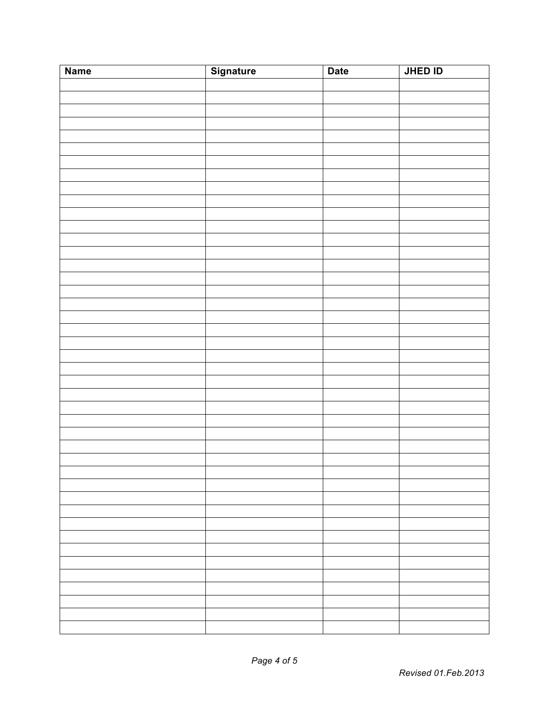| <b>Name</b> | <b>Signature</b> | <b>Date</b> | JHED ID |
|-------------|------------------|-------------|---------|
|             |                  |             |         |
|             |                  |             |         |
|             |                  |             |         |
|             |                  |             |         |
|             |                  |             |         |
|             |                  |             |         |
|             |                  |             |         |
|             |                  |             |         |
|             |                  |             |         |
|             |                  |             |         |
|             |                  |             |         |
|             |                  |             |         |
|             |                  |             |         |
|             |                  |             |         |
|             |                  |             |         |
|             |                  |             |         |
|             |                  |             |         |
|             |                  |             |         |
|             |                  |             |         |
|             |                  |             |         |
|             |                  |             |         |
|             |                  |             |         |
|             |                  |             |         |
|             |                  |             |         |
|             |                  |             |         |
|             |                  |             |         |
|             |                  |             |         |
|             |                  |             |         |
|             |                  |             |         |
|             |                  |             |         |
|             |                  |             |         |
|             |                  |             |         |
|             |                  |             |         |
|             |                  |             |         |
|             |                  |             |         |
|             |                  |             |         |
|             |                  |             |         |
|             |                  |             |         |
|             |                  |             |         |
|             |                  |             |         |
|             |                  |             |         |
|             |                  |             |         |
|             |                  |             |         |